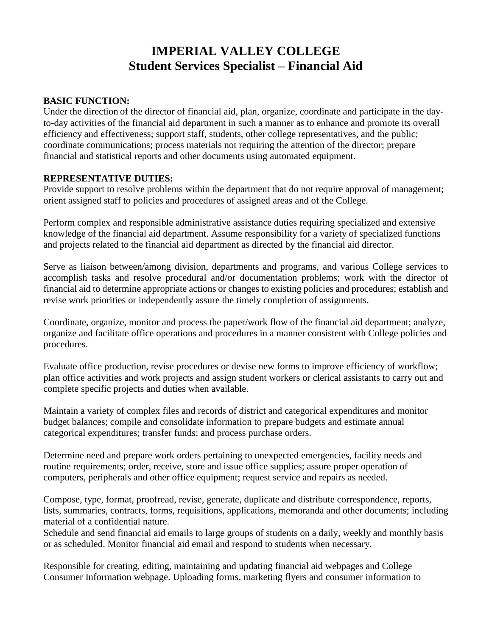# **IMPERIAL VALLEY COLLEGE Student Services Specialist – Financial Aid**

#### **BASIC FUNCTION:**

Under the direction of the director of financial aid, plan, organize, coordinate and participate in the dayto-day activities of the financial aid department in such a manner as to enhance and promote its overall efficiency and effectiveness; support staff, students, other college representatives, and the public; coordinate communications; process materials not requiring the attention of the director; prepare financial and statistical reports and other documents using automated equipment.

#### **REPRESENTATIVE DUTIES:**

Provide support to resolve problems within the department that do not require approval of management; orient assigned staff to policies and procedures of assigned areas and of the College.

Perform complex and responsible administrative assistance duties requiring specialized and extensive knowledge of the financial aid department. Assume responsibility for a variety of specialized functions and projects related to the financial aid department as directed by the financial aid director.

Serve as liaison between/among division, departments and programs, and various College services to accomplish tasks and resolve procedural and/or documentation problems; work with the director of financial aid to determine appropriate actions or changes to existing policies and procedures; establish and revise work priorities or independently assure the timely completion of assignments.

Coordinate, organize, monitor and process the paper/work flow of the financial aid department; analyze, organize and facilitate office operations and procedures in a manner consistent with College policies and procedures.

Evaluate office production, revise procedures or devise new forms to improve efficiency of workflow; plan office activities and work projects and assign student workers or clerical assistants to carry out and complete specific projects and duties when available.

Maintain a variety of complex files and records of district and categorical expenditures and monitor budget balances; compile and consolidate information to prepare budgets and estimate annual categorical expenditures; transfer funds; and process purchase orders.

Determine need and prepare work orders pertaining to unexpected emergencies, facility needs and routine requirements; order, receive, store and issue office supplies; assure proper operation of computers, peripherals and other office equipment; request service and repairs as needed.

Compose, type, format, proofread, revise, generate, duplicate and distribute correspondence, reports, lists, summaries, contracts, forms, requisitions, applications, memoranda and other documents; including material of a confidential nature.

Schedule and send financial aid emails to large groups of students on a daily, weekly and monthly basis or as scheduled. Monitor financial aid email and respond to students when necessary.

Responsible for creating, editing, maintaining and updating financial aid webpages and College Consumer Information webpage. Uploading forms, marketing flyers and consumer information to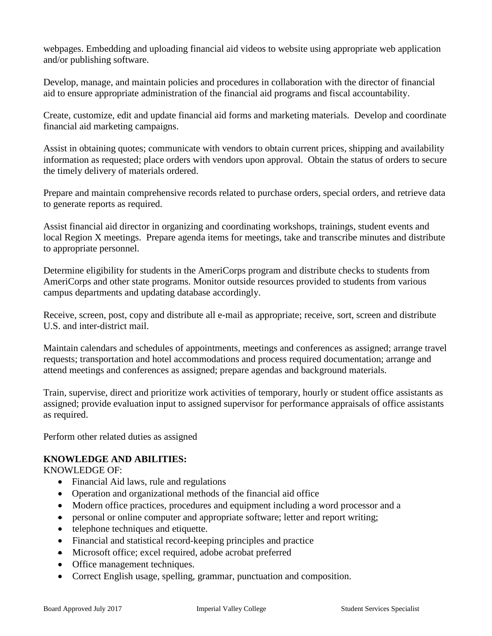webpages. Embedding and uploading financial aid videos to website using appropriate web application and/or publishing software.

Develop, manage, and maintain policies and procedures in collaboration with the director of financial aid to ensure appropriate administration of the financial aid programs and fiscal accountability.

Create, customize, edit and update financial aid forms and marketing materials. Develop and coordinate financial aid marketing campaigns.

Assist in obtaining quotes; communicate with vendors to obtain current prices, shipping and availability information as requested; place orders with vendors upon approval. Obtain the status of orders to secure the timely delivery of materials ordered.

Prepare and maintain comprehensive records related to purchase orders, special orders, and retrieve data to generate reports as required.

Assist financial aid director in organizing and coordinating workshops, trainings, student events and local Region X meetings. Prepare agenda items for meetings, take and transcribe minutes and distribute to appropriate personnel.

Determine eligibility for students in the AmeriCorps program and distribute checks to students from AmeriCorps and other state programs. Monitor outside resources provided to students from various campus departments and updating database accordingly.

Receive, screen, post, copy and distribute all e-mail as appropriate; receive, sort, screen and distribute U.S. and inter-district mail.

Maintain calendars and schedules of appointments, meetings and conferences as assigned; arrange travel requests; transportation and hotel accommodations and process required documentation; arrange and attend meetings and conferences as assigned; prepare agendas and background materials.

Train, supervise, direct and prioritize work activities of temporary, hourly or student office assistants as assigned; provide evaluation input to assigned supervisor for performance appraisals of office assistants as required.

Perform other related duties as assigned

## **KNOWLEDGE AND ABILITIES:**

KNOWLEDGE OF:

- Financial Aid laws, rule and regulations
- Operation and organizational methods of the financial aid office
- Modern office practices, procedures and equipment including a word processor and a
- personal or online computer and appropriate software; letter and report writing;
- telephone techniques and etiquette.
- Financial and statistical record-keeping principles and practice
- Microsoft office; excel required, adobe acrobat preferred
- Office management techniques.
- Correct English usage, spelling, grammar, punctuation and composition.